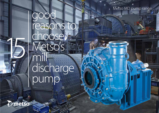Metso MD pump range

助作

## good reasons to choose. Metso's mill discharge pump

O metso

15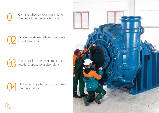O1 Consistent hydraulic design limiting<br>inlet velocity at best efficiency point. inlet velocity at best efficiency point.

> Excellent sustained efficiency across a broad flow range.

> High impeller aspect ratio minimizing rotational speed for a given duty.

Advanced impeller design minimizing entrance losses.

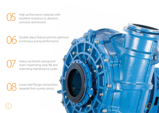High performance materials with excellent resistance to abrasion, corrosion and erosion.

Double adjust feature permits optimum continuous pump performance.

**07** Heavy sectioned casings and<br>liners maximizing wear life and<br>extending maintenance cycle liners maximizing wear life and extending maintenance cycles.

> Loose steel flange connections separate from pump casing.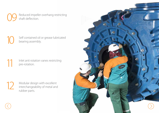Reduced impeller overhang restricting shaft deflection.

Self contained oil or grease lubricated<br>bearing assembly.

Inlet anti rotation vanes restricting pre-rotation.



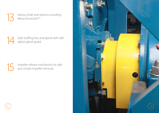Various shaft seal options including Metso EnviroSet™.

Split stuffing box and gland with safe adjust gland guard.

Impeller release mechanism for safe and simple impeller removal.